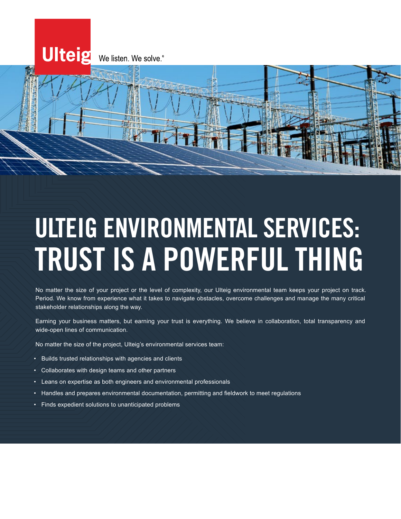

# ULTEIG ENVIRONMENTAL SERVICES: TRUST IS A POWERFUL THING

No matter the size of your project or the level of complexity, our Ulteig environmental team keeps your project on track. Period. We know from experience what it takes to navigate obstacles, overcome challenges and manage the many critical stakeholder relationships along the way.

Earning your business matters, but earning your trust is everything. We believe in collaboration, total transparency and wide-open lines of communication.

No matter the size of the project, Ulteig's environmental services team:

- Builds trusted relationships with agencies and clients
- Collaborates with design teams and other partners
- Leans on expertise as both engineers and environmental professionals
- Handles and prepares environmental documentation, permitting and fieldwork to meet regulations
- Finds expedient solutions to unanticipated problems